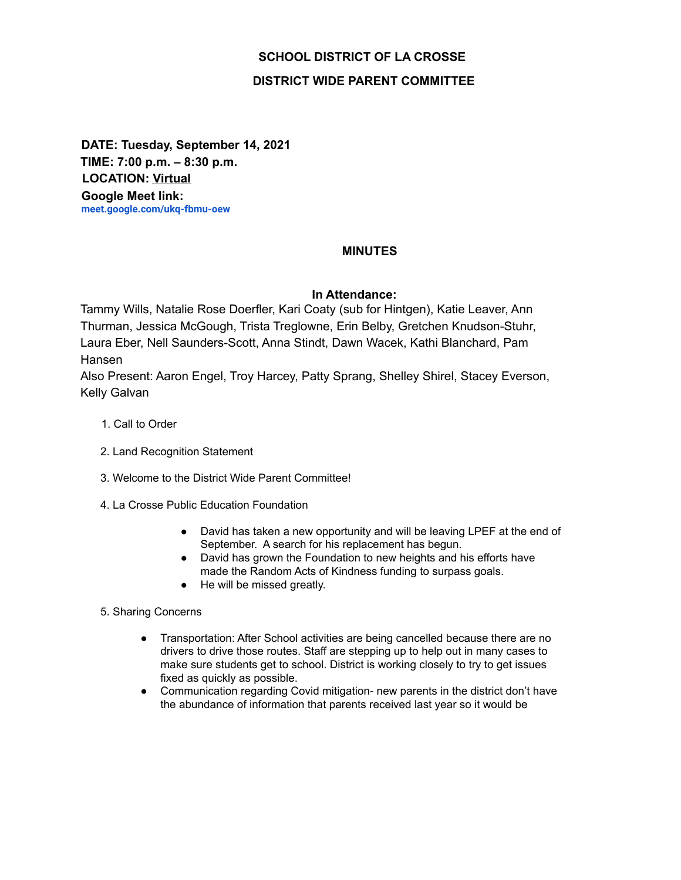# **SCHOOL DISTRICT OF LA CROSSE**

## **DISTRICT WIDE PARENT COMMITTEE**

**DATE: Tuesday, September 14, 2021 TIME: 7:00 p.m. – 8:30 p.m. LOCATION: Virtual Google Meet link: meet.google.com/ukq-fbmu-oew**

### **MINUTES**

#### **In Attendance:**

Tammy Wills, Natalie Rose Doerfler, Kari Coaty (sub for Hintgen), Katie Leaver, Ann Thurman, Jessica McGough, Trista Treglowne, Erin Belby, Gretchen Knudson-Stuhr, Laura Eber, Nell Saunders-Scott, Anna Stindt, Dawn Wacek, Kathi Blanchard, Pam Hansen

Also Present: Aaron Engel, Troy Harcey, Patty Sprang, Shelley Shirel, Stacey Everson, Kelly Galvan

- 1. Call to Order
- 2. Land Recognition Statement
- 3. Welcome to the District Wide Parent Committee!
- 4. La Crosse Public Education Foundation
	- David has taken a new opportunity and will be leaving LPEF at the end of September. A search for his replacement has begun.
	- David has grown the Foundation to new heights and his efforts have made the Random Acts of Kindness funding to surpass goals.
	- He will be missed greatly.
- 5. Sharing Concerns
	- Transportation: After School activities are being cancelled because there are no drivers to drive those routes. Staff are stepping up to help out in many cases to make sure students get to school. District is working closely to try to get issues fixed as quickly as possible.
	- Communication regarding Covid mitigation- new parents in the district don't have the abundance of information that parents received last year so it would be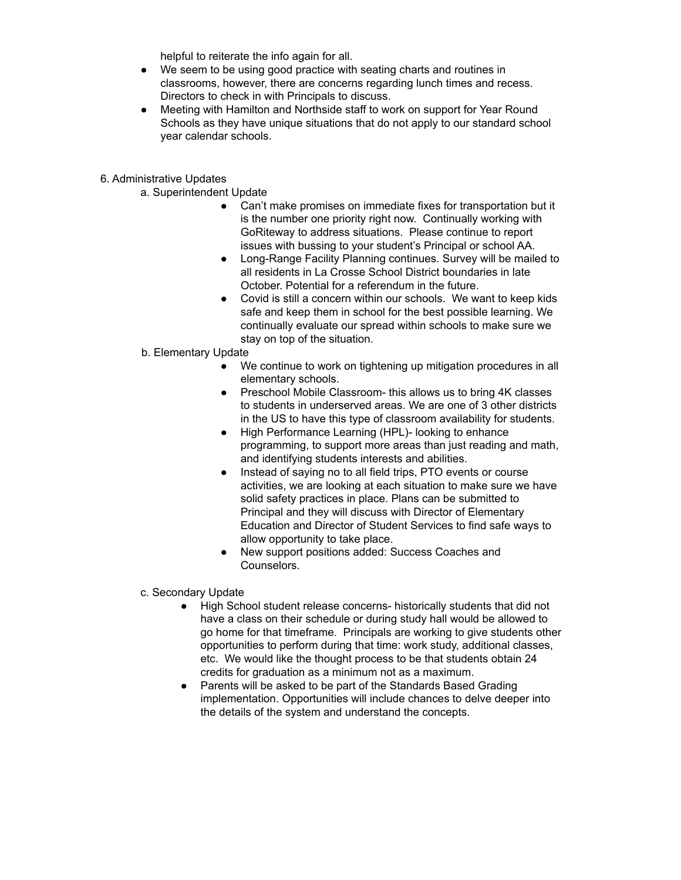helpful to reiterate the info again for all.

- We seem to be using good practice with seating charts and routines in classrooms, however, there are concerns regarding lunch times and recess. Directors to check in with Principals to discuss.
- Meeting with Hamilton and Northside staff to work on support for Year Round Schools as they have unique situations that do not apply to our standard school year calendar schools.

#### 6. Administrative Updates

- a. Superintendent Update
	- Can't make promises on immediate fixes for transportation but it is the number one priority right now. Continually working with GoRiteway to address situations. Please continue to report issues with bussing to your student's Principal or school AA.
	- Long-Range Facility Planning continues. Survey will be mailed to all residents in La Crosse School District boundaries in late October. Potential for a referendum in the future.
	- Covid is still a concern within our schools. We want to keep kids safe and keep them in school for the best possible learning. We continually evaluate our spread within schools to make sure we stay on top of the situation.
- b. Elementary Update
	- We continue to work on tightening up mitigation procedures in all elementary schools.
	- Preschool Mobile Classroom- this allows us to bring 4K classes to students in underserved areas. We are one of 3 other districts in the US to have this type of classroom availability for students.
	- High Performance Learning (HPL)- looking to enhance programming, to support more areas than just reading and math, and identifying students interests and abilities.
	- Instead of saying no to all field trips, PTO events or course activities, we are looking at each situation to make sure we have solid safety practices in place. Plans can be submitted to Principal and they will discuss with Director of Elementary Education and Director of Student Services to find safe ways to allow opportunity to take place.
	- New support positions added: Success Coaches and Counselors.
- c. Secondary Update
	- High School student release concerns- historically students that did not have a class on their schedule or during study hall would be allowed to go home for that timeframe. Principals are working to give students other opportunities to perform during that time: work study, additional classes, etc. We would like the thought process to be that students obtain 24 credits for graduation as a minimum not as a maximum.
	- Parents will be asked to be part of the Standards Based Grading implementation. Opportunities will include chances to delve deeper into the details of the system and understand the concepts.